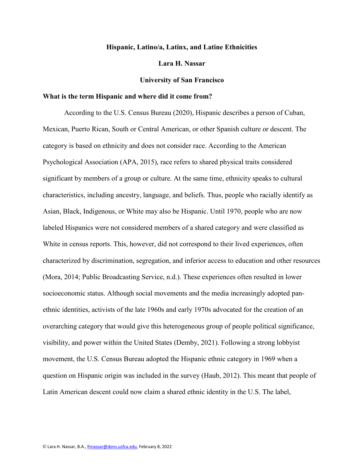# **Hispanic, Latino/a, Latinx, and Latine Ethnicities**

#### **Lara H. Nassar**

### **University of San Francisco**

#### **What is the term Hispanic and where did it come from?**

According to the U.S. Census Bureau (2020), Hispanic describes a person of Cuban, Mexican, Puerto Rican, South or Central American, or other Spanish culture or descent. The category is based on ethnicity and does not consider race. According to the American Psychological Association (APA, 2015), race refers to shared physical traits considered significant by members of a group or culture. At the same time, ethnicity speaks to cultural characteristics, including ancestry, language, and beliefs. Thus, people who racially identify as Asian, Black, Indigenous, or White may also be Hispanic. Until 1970, people who are now labeled Hispanics were not considered members of a shared category and were classified as White in census reports. This, however, did not correspond to their lived experiences, often characterized by discrimination, segregation, and inferior access to education and other resources (Mora, 2014; Public Broadcasting Service, n.d.). These experiences often resulted in lower socioeconomic status. Although social movements and the media increasingly adopted panethnic identities, activists of the late 1960s and early 1970s advocated for the creation of an overarching category that would give this heterogeneous group of people political significance, visibility, and power within the United States (Demby, 2021). Following a strong lobbyist movement, the U.S. Census Bureau adopted the Hispanic ethnic category in 1969 when a question on Hispanic origin was included in the survey (Haub, 2012). This meant that people of Latin American descent could now claim a shared ethnic identity in the U.S. The label,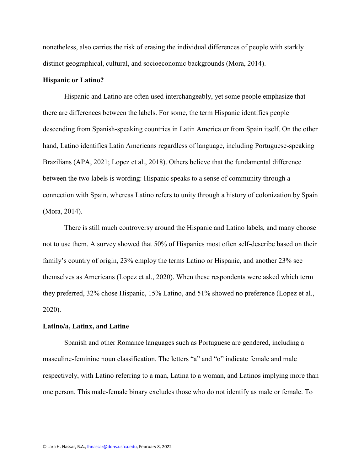nonetheless, also carries the risk of erasing the individual differences of people with starkly distinct geographical, cultural, and socioeconomic backgrounds (Mora, 2014).

### **Hispanic or Latino?**

Hispanic and Latino are often used interchangeably, yet some people emphasize that there are differences between the labels. For some, the term Hispanic identifies people descending from Spanish-speaking countries in Latin America or from Spain itself. On the other hand, Latino identifies Latin Americans regardless of language, including Portuguese-speaking Brazilians (APA, 2021; Lopez et al., 2018). Others believe that the fundamental difference between the two labels is wording: Hispanic speaks to a sense of community through a connection with Spain, whereas Latino refers to unity through a history of colonization by Spain (Mora, 2014).

There is still much controversy around the Hispanic and Latino labels, and many choose not to use them. A survey showed that 50% of Hispanics most often self-describe based on their family's country of origin, 23% employ the terms Latino or Hispanic, and another 23% see themselves as Americans (Lopez et al., 2020). When these respondents were asked which term they preferred, 32% chose Hispanic, 15% Latino, and 51% showed no preference (Lopez et al., 2020).

#### **Latino/a, Latinx, and Latine**

Spanish and other Romance languages such as Portuguese are gendered, including a masculine-feminine noun classification. The letters "a" and "o" indicate female and male respectively, with Latino referring to a man, Latina to a woman, and Latinos implying more than one person. This male-female binary excludes those who do not identify as male or female. To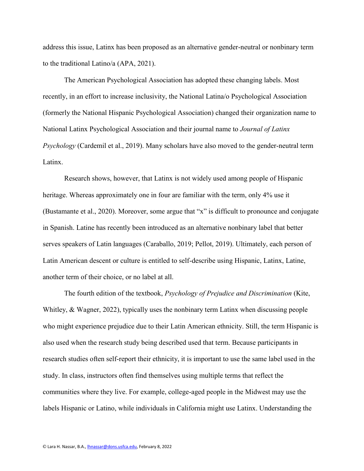address this issue, Latinx has been proposed as an alternative gender-neutral or nonbinary term to the traditional Latino/a (APA, 2021).

The American Psychological Association has adopted these changing labels. Most recently, in an effort to increase inclusivity, the National Latina/o Psychological Association (formerly the National Hispanic Psychological Association) changed their organization name to National Latinx Psychological Association and their journal name to *Journal of Latinx Psychology* (Cardemil et al., 2019). Many scholars have also moved to the gender-neutral term Latinx.

Research shows, however, that Latinx is not widely used among people of Hispanic heritage. Whereas approximately one in four are familiar with the term, only 4% use it (Bustamante et al., 2020). Moreover, some argue that "x" is difficult to pronounce and conjugate in Spanish. Latine has recently been introduced as an alternative nonbinary label that better serves speakers of Latin languages (Caraballo, 2019; Pellot, 2019). Ultimately, each person of Latin American descent or culture is entitled to self-describe using Hispanic, Latinx, Latine, another term of their choice, or no label at all.

The fourth edition of the textbook, *Psychology of Prejudice and Discrimination* (Kite, Whitley, & Wagner, 2022), typically uses the nonbinary term Latinx when discussing people who might experience prejudice due to their Latin American ethnicity. Still, the term Hispanic is also used when the research study being described used that term. Because participants in research studies often self-report their ethnicity, it is important to use the same label used in the study. In class, instructors often find themselves using multiple terms that reflect the communities where they live. For example, college-aged people in the Midwest may use the labels Hispanic or Latino, while individuals in California might use Latinx. Understanding the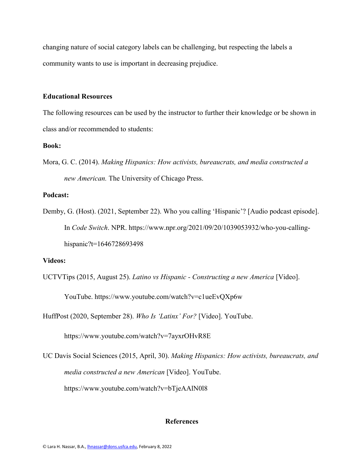changing nature of social category labels can be challenging, but respecting the labels a community wants to use is important in decreasing prejudice.

### **Educational Resources**

The following resources can be used by the instructor to further their knowledge or be shown in class and/or recommended to students:

# **Book:**

Mora, G. C. (2014). *Making Hispanics: How activists, bureaucrats, and media constructed a new American.* The University of Chicago Press.

# **Podcast:**

Demby, G. (Host). (2021, September 22). Who you calling 'Hispanic'? [Audio podcast episode]. In *Code Switch*. NPR. https://www.npr.org/2021/09/20/1039053932/who-you-callinghispanic?t=1646728693498

### **Videos:**

UCTVTips (2015, August 25). *Latino vs Hispanic - Constructing a new America* [Video].

YouTube. <https://www.youtube.com/watch?v=c1ueEvQXp6w>

HuffPost (2020, September 28). *Who Is 'Latinx' For?* [Video]. YouTube[.](https://www.youtube.com/watch?v=7ayxrOHvR8E)

<https://www.youtube.com/watch?v=7ayxrOHvR8E>

UC Davis Social Sciences (2015, April, 30). *Making Hispanics: How activists, bureaucrats, and media constructed a new American* [Video]. YouTube[.](https://www.youtube.com/watch?v=bTjeAAlN0l8) <https://www.youtube.com/watch?v=bTjeAAlN0l8>

### **References**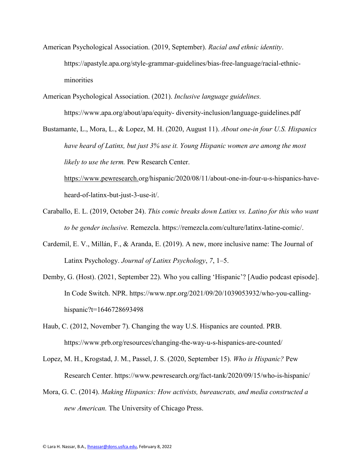- American Psychological Association. (2019, September). *Racial and ethnic identity*. https://apastyle.apa.org/style-grammar-guidelines/bias-free-language/racial-ethnicminorities
- American Psychological Association. (2021). *Inclusive language guidelines.*  https://www.apa.org/about/apa/equity- diversity-inclusion/language-guidelines.pdf

Bustamante, L., Mora, L., & Lopez, M. H. (2020, August 11). *About one-in four U.S. Hispanics have heard of Latinx, but just 3% use it. Young Hispanic women are among the most likely to use the term.* Pew Research Center.

https://www.pewresearch[.org/hispanic/2020/08/11/about-one-in-four-u-s-hispanics-have](https://www.pewresearch.org/hispanic/2020/08/11/about-one-in-four-u-s-hispanics-have-heard-of-latinx-but-just-3-use-it/)[heard-of-latinx-but-just-3-use-it/.](https://www.pewresearch.org/hispanic/2020/08/11/about-one-in-four-u-s-hispanics-have-heard-of-latinx-but-just-3-use-it/)

- Caraballo, E. L. (2019, October 24). *This comic breaks down Latinx vs. Latino for this who want to be gender inclusive.* Remezcla. [https://remezcla.com/culture/latinx-latine-comic/.](https://remezcla.com/culture/latinx-latine-comic/)
- Cardemil, E. V., Millán, F., & Aranda, E. (2019). A new, more inclusive name: The Journal of Latinx Psychology. *Journal of Latinx Psychology*, *7*, 1–5.
- Demby, G. (Host). (2021, September 22). Who you calling 'Hispanic'? [Audio podcast episode]. In Code Switch. NPR. https://www.npr.org/2021/09/20/1039053932/who-you-callinghispanic?t=1646728693498
- Haub, C. (2012, November 7). Changing the way U.S. Hispanics are counted. PRB. <https://www.prb.org/resources/changing-the-way-u-s-hispanics-are-counted/>
- Lopez, M. H., Krogstad, J. M., Passel, J. S. (2020, September 15). *Who is Hispanic?* Pew Research Center. https://www.pewresearch.org/fact-tank/2020/09/15/who-is-hispanic/
- Mora, G. C. (2014). *Making Hispanics: How activists, bureaucrats, and media constructed a new American.* The University of Chicago Press.